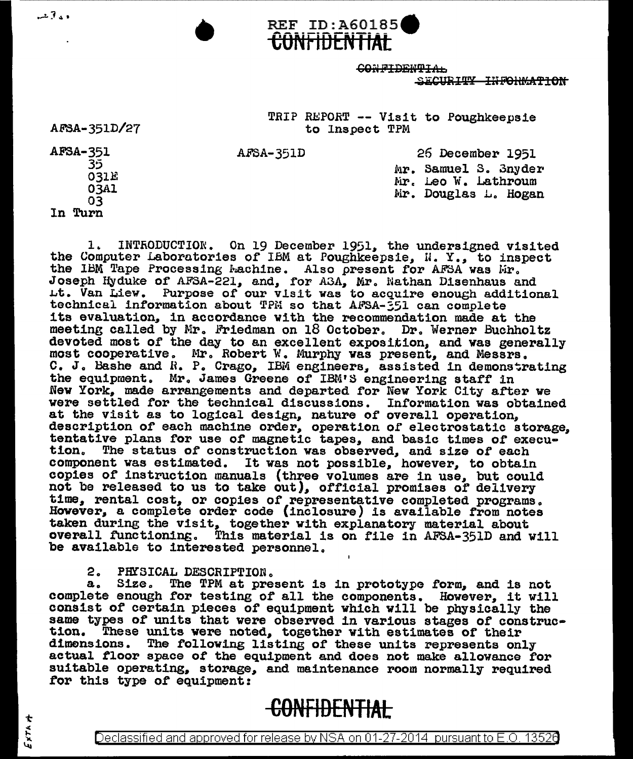REF ID:A60185 GON FIDENTIAL  $~$ SECURITY INFORMATION

> TRIP REPORT -- Visit to Poughkeepsie to Inspect TPM

AFSA-351D 26 December 1951 Mr. Samuel 3. 3nyder Mr. Leo W. Lathroum Mr. Douglas L. Hogan

**GUNtlUl::N flAL** 

35 031E 03Al 03

AFSA-351

د د 7 سه

AF8A-351D/27

In Turn

1. INTRODUCTION. On 19 December 1951. the undersigned visited the Computer Laboratories of IBM at Poughkeepsie, I. Y., to inspect the IBM Tape Processing Lachine. Also present for AFSA was lir. Joseph Hyduke of AFSA-221, and, for A3A, Mr. Nathan Disenhaus and Lt. Van Liew. Purpose of our visit was to acquire enough additional technical information about TPM so that AFSA-551 can complete<br>its evaluation, in accordance with the recommendation made at the meeting called by Mr. Friedman on 18 October. Dr. Werner Buchholtz devoted most of the day to an excellent exposition, and was generally most cooperative. Mr. Robert W. Murphy was present, and Messrs. C. J. Bashe and *R. P.* Crago, IBM engineers, assisted in demonstrating the equipment. Mr. James Greene of IBM'S engineering staff in New York, made arrangements and departed ror New York City after we were settled for the technical discussions. Information was obtained at the visit as to logical design, nature of overall operation. description of each machine order, operation of electrostatic storage,<br>tentative plans for use of magnetic tapes, and basic times of execu-<br>tion. The status of construction was observed, and size of each The status of construction was observed, and size of each component was estimated. It was not possible, however, to obtain copies of instruction manuals (three volumes are in use, but could not be released to us to take out), official promises of delivery time, rental cost, or copies of representative completed programs. However, a complete order code (inclosure) is available from notes taken during the visit, together with explanatory material about overall functioning. This material is on file in AFSA-351D and w This material is on file in AFSA-351D and will be available to interested personnel.

2. PHYSICAL DESCRIPTION.

a. Size. The TPM at present is in prototype form, and is not complete enough for testing of all the components. However, it will consist of certain pieces of equipment which will be physically the same types of units that were observed in various stages of construc-<br>tion. These units were noted, together with estimates of their tion. These units were noted, together with estimates of their dimensions. The following listing of these units represents only actual floor space of the equipment and does not make allowance for suitable operating, storage, and maintenance room normally required for this type of equipment:

## **CONFIDENTIAL**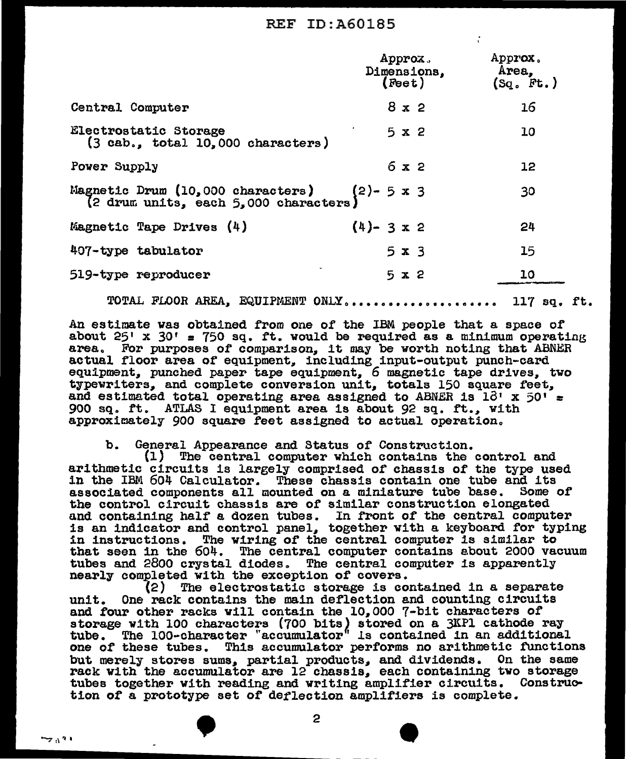## REF ID:A60185

÷

|                                                                            | Approx.<br>Dimensions,<br>(Feet) | Approx.<br>Area,<br>(Sq. Ft.) |
|----------------------------------------------------------------------------|----------------------------------|-------------------------------|
| Central Computer                                                           | 8x2                              | 16                            |
| Electrostatic Storage<br>$(3$ cab., total $10,000$ characters)             | $5 \times 2$                     | 10                            |
| Power Supply                                                               | 6x2                              | 12                            |
| Magnetic Drum (10,000 characters)<br>(2 drum units, each 5,000 characters) | $(2)-5 \times 3$                 | 30                            |
| Magnetic Tape Drives (4)                                                   | $(4)$ - 3 x 2                    | 24                            |
| 407-type tabulator                                                         | $5 \times 3$                     | 15                            |
| 519-type reproducer                                                        | $5 \times 2$                     | 10                            |

TOTAL FLOOR AREA, EQUIPMENT ONLY..................... 117 sq. ft.

An estimate was obtained from one of the IBM people that a space of about  $25'$  x  $30'$  = 750 sq. ft. would be required as a minimum operating area. For purposes of comparison, it may be worth noting that ABNER actual floor area of equipment, including input-output punch-card actual floor area of equipment, including input-output punch-card typewriters, and complete conversion unit, totals 150 square feet, and estimated total operating area assigned to ABNER is  $18' \times 50' =$ 900 sq. rt. ATLAS I equipment area is about 92 sq. rt., with approximately  $900$  square feet assigned to actual operation.

b. General Appearance and Status *or* Construction.

(l) The central computer which contains the control and arithmetic circuits is largely comprised of chassis or the type used in the IBM 604 Calculator. These chassis contain one tube and its associated components all mounted on a miniature tube base. Some of associated components all mounted on a miniature tube base. Some of<br>the control circuit chassis are of similar construction elongated<br>and containing half a dozen tubes. In front of the central computer<br>is an indicator and that seen in the 604. The central computer contains about 2000 vacuum tubes and 2800 crystal diodes. The central computer is apparently<br>nearly completed with the exception of covers.<br>(2) The electrostatic storage is contained in a separate

unit. One rack contains the main deflection and counting circuits and four other racks will contain the 10,,000 7-bit characters of storage with 100 characters (700 bits) stored on a 3KP1 cathode ray tube. The 100-character "accumulator" is contained in an additional one of these tubes. This accumulator performs no arithmetic functions but merely stores sums, partial products, and dividends. On the same rack with the accumulator are 12 chassis, each containing two storage tubes together with reading and writing amplifier circuits. Construction of a prototype set or deflection amplifiers is complete.  $\frac{1}{2}$ ,  $\frac{1}{2}$ ,  $\frac{1}{2}$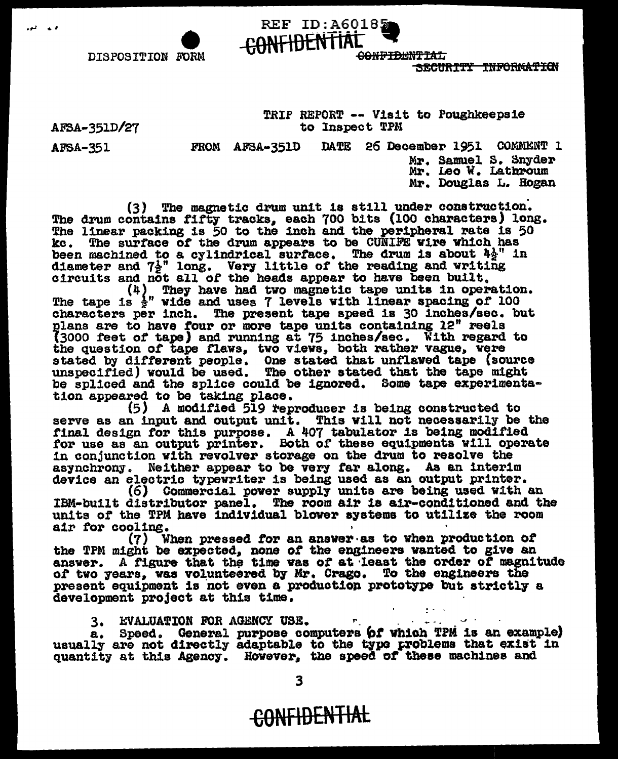CONFIDENTIAL **CONFIDENTIAL** 

SECURTTY INFORMATION

AFSA-351D/27

AFSA-351

DISPOSITION FORM

**CORM** 

.~ . ,

TRIP REPORT -- Visit to Poughkeepsie to Inspect TPM

FROM AFSA-351D DATE 26 December 1951 COMMENT 1 Mr. Samuel s. Snyder Mr. Leo V. Latbroum

Mr. Douglas L. Hogan

(3) The magnetic drum unit is still under construction.<br>The drum contains fifty tracks, each 700 bits (100 characters) long.<br>The linear packing is 50 to the inch and the peripheral rate is 50<br>kc. The surface of the drum a The surface of the drum appears to be CUNIFE wire which has been machined to a cylindrical surface. The drum is about  $4\frac{1}{2}$ " in diameter and  $7\frac{1}{2}$ " long. Very little of the reading and writing circuits and not all of the heads appear to have been built.

**REF ID: A60185** 

(4~ They have had two magnetic tape un1ta in operation. The tape is 2 " wide and uses 7 levels with linear spacing *or* <sup>100</sup> characters per inch. The present tape speed is 30 inches/sec. but plans are to have four or more tape units containing 12" reels (3000 feet of tape) and running at 75 inches/sec. With regard to the question of tape flaws, two views, both rather vague, were stated by different people. One stated that unflaved tape (source unspecified) would be used. The other stated that the tape might be spliced and the splice could be ignored. Some tape experimentation appeared to be taking

 $(5)$  A modified  $519$  reproducer is being constructed to serve as an input and output unit. This will not necessarily be the final design for this purpose. A 407 tabulator is being modified that design for this purpose. Both of these equipments will operate for use as an output printer. Both of these equipments will operate in conjunction with revolver storage on the drum to resolve the in conjunction with revolver storage on the drum to resolve the asynchrony. Neither appear to be very far along. As an interim device an electric typewriter is being used as an output printer.

(6) Commercial power supply units are being used with an IBM-built distributor panel. The room air 1a air-cond1t1oned and the units of the TPM have individual blower systems to utilize the room air for cooling.

air *tor* cooling. , · (7) When pressed *tor* an ansver·as to vhen production *ot*  the TPM might be expected, none of the engineers wanted to give an answer. A figure that the time was of at least the order of magnitude answer. A figure that the time was of at least the order of magnitude of two years, was volunteered by Mr. Crago. To the engineers the of two years, was volunteered by Mr. Crago. To the engineers the present equipment is not even a production prototype but strictly a development project at this time.

3. HVALUATION FOR AGENCY USE. ''<br>a. Speed. General purpose computers *bf* which TPM is an example)<br>usually are not directly adaptable to the typo problems that exist in quantity at this Agency. However. the speed or theae machines and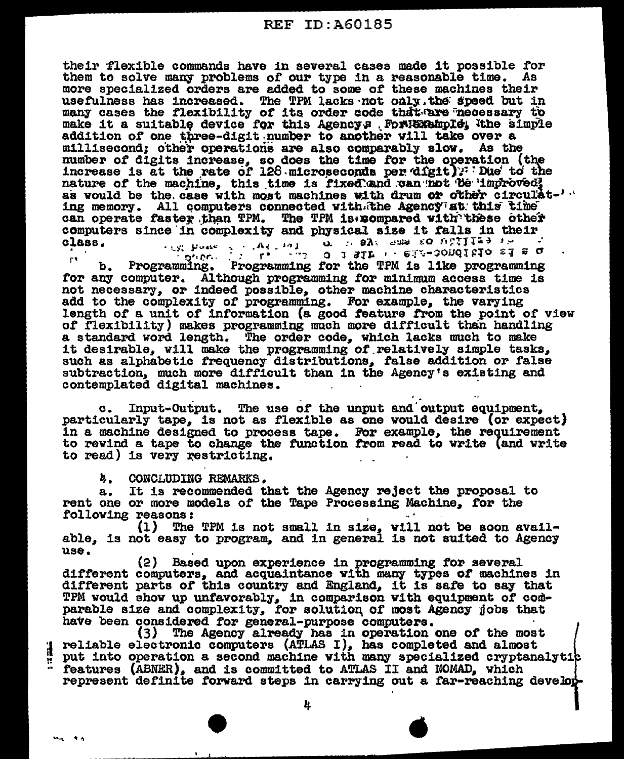their flexible commands have in several cases made it possible for them to solve many problems of our type in a reasonable time. As more specialized orders are added to some of these machines their usefulness has increased. The TPM lacks not only the speed but in many cases the flexibility of its order code that are necessary to make it a suitable device for this Agency. For Bore hold the simple addition of one three-digit number to another will take over a millisecond; other operations are also comparably slow. As the number of digits increase, so does the time for the operation (the increase is at the rate of 128 microseconds per digit): Due to the nature of the machine, this time is fixed and can not be improved; as would be the case with most machines with drum or other circulat-'" ing memory. All computers connected with the Agency at this time can operate faster than TPM. The TPM is compared with these other computers since in complexity and physical size it falls in their class.

Programming. Programming for the TPM is like programming ŗ١ b. for any computer. Although programming for minimum access time is not necessary, or indeed possible, other machine characteristics add to the complexity of programming. For example, the varying length of a unit of information (a good feature from the point of view of flexibility) makes programming much more difficult than handling a standard word length. The order code, which lacks much to make it desirable, will make the programming of relatively simple tasks, such as alphabetic frequency distributions, false addition or false subtraction, much more difficult than in the Agency's existing and contemplated digital machines.

Input-Output. The use of the unput and output equipment.  $c_{\bullet}$ particularly tape, is not as flexible as one would desire (or expect) in a machine designed to process tape. For example, the requirement to rewind a tape to change the function from read to write (and write to read) is very restricting.

ų. CONCLUDING REMARKS.

It is recommended that the Agency reject the proposal to а. rent one or more models of the Tape Processing Machine, for the following reasons:

(1) The TPM is not small in size, will not be soon avail-<br>able, is not easy to program, and in general is not suited to Agency use.

(2) Based upon experience in programming for several different computers, and acquaintance with many types of machines in different parts of this country and England, it is safe to say that TPM would show up unfavorably, in comparison with equipment of comparable size and complexity, for solution of most Agency jobs that have been considered for general-purpose computers.

(3) The Agency already has in operation one of the most reliable electronic computers (ATLAS I), has completed and almost 4 put into operation a second machine with many specialized cryptanalytic features (ABNER), and is committed to ATLAS II and NOMAD, which represent definite forward steps in carrying out a far-reaching develop-

4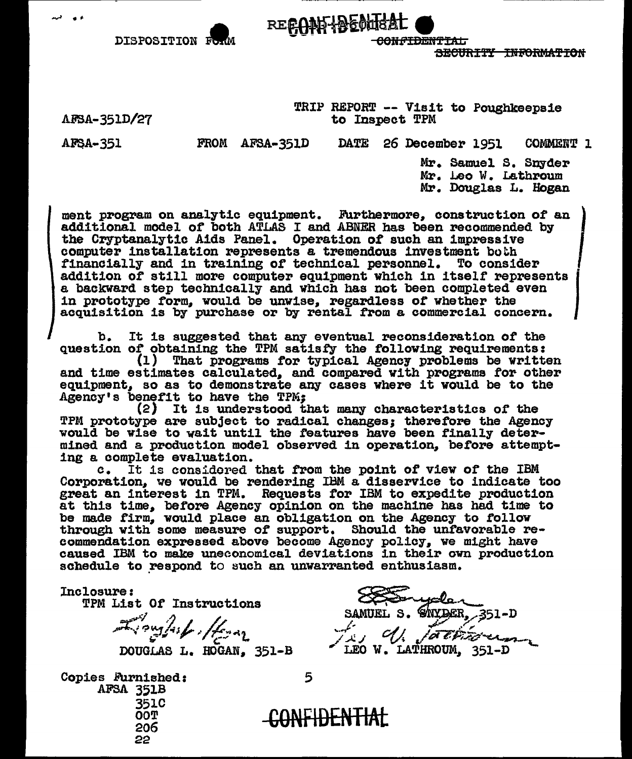SECURITY INFORMATION

DISPOSITION For

TRIP REPORT -- Visit to Poughkeepsie to Inspect TPM

<del>CONFIDENTIAL</del>

AFSA-351D/27

FROM AFSA-351D DATE 26 December 1951 COMMENT 1

**AFSA-351** 

Mr. Samuel S. Snyder Mr. Leo W. Lathroum Mr. Douglas L. Hogan

ment program on analytic equipment. Furthermore, construction of an additional model of both ATLAS I and ABNER has been recommended by the Cryptanalytic Aids Panel. Operation of such an impressive computer installation represents a tremendous investment both financially and in training of technical personnel. To consider addition of still more computer equipment which in itself represents a backward step technically and which has not been completed even in prototype form, would be unwise, regardless of whether the acquisition is by purchase or by rental from a commercial concern.

RECONFIDENTISAL

b. It is suggested that any eventual reconsideration of the question of obtaining the TPM satisfy the following requirements:

(1) That programs for typical Agency problems be written and time estimates calculated, and compared with programs for other equipment, so as to demonstrate any cases where it would be to the Agency's benefit to have the TPM;

(2) It is understood that many characteristics of the TPM prototype are subject to radical changes; therefore the Agency would be wise to wait until the features have been finally determined and a production model observed in operation, before attempting a complete evaluation.

c. It is considered that from the point of view of the IBM Corporation, we would be rendering IBM a disservice to indicate too great an interest in TPM. Requests for IBM to expedite production at this time, before Agency opinion on the machine has had time to be made firm, would place an obligation on the Agency to follow through with some measure of support. Should the unfavorable recommendation expressed above become Agency policy, we might have caused IBM to make uneconomical deviations in their own production schedule to respond to such an unwarranted enthusiasm.

Inclosure:

TPM List Of Instructions

Tompshiller

**Copies Furnished:** AFSA 351B 351C **TOO** 206 22

SNYDER, 351-D SAMUEL S. L'onglash / forma<br>DOUGLAS L. HOGAN, 351-B LEO W. LATHROUM, 351-D

5

<del>-CONFIDENTIAL</del>